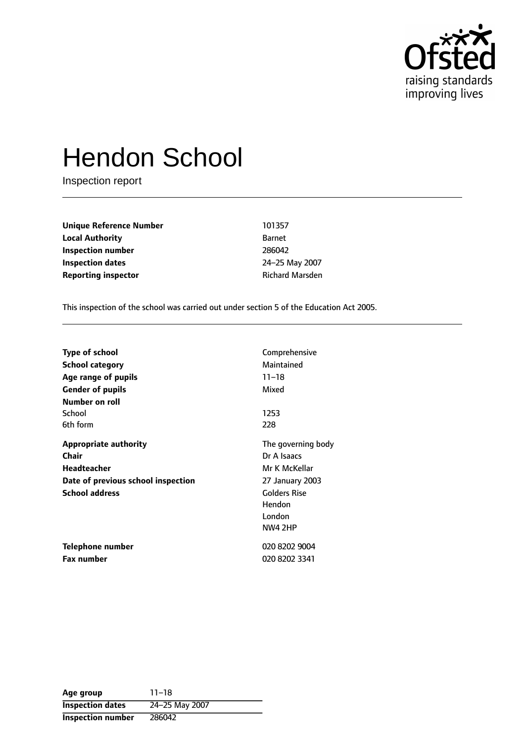

# Hendon School

Inspection report

| Unique Reference Number | 10135         |
|-------------------------|---------------|
| Local Authority         | <b>Barnet</b> |
| Inspection number       | 28604         |
| Inspection dates        | $24 - 25$     |
| Reporting inspector     | Richar        |

**Unique Reference Number** 101357 **Inspection number** 286042 **Inspection dates** 2425 May 2007 **Richard Marsden** 

This inspection of the school was carried out under section 5 of the Education Act 2005.

| <b>Type of school</b>              | Comprehensive       |
|------------------------------------|---------------------|
| <b>School category</b>             | Maintained          |
| Age range of pupils                | $11 - 18$           |
| <b>Gender of pupils</b>            | Mixed               |
| Number on roll                     |                     |
| School                             | 1253                |
| 6th form                           | 228                 |
| <b>Appropriate authority</b>       | The governing body  |
| Chair                              | Dr A Isaacs         |
| Headteacher                        | Mr K McKellar       |
| Date of previous school inspection | 27 January 2003     |
| <b>School address</b>              | <b>Golders Rise</b> |
|                                    | Hendon              |
|                                    | London              |
|                                    | NW4 2HP             |
| Telephone number                   | 020 8202 9004       |
| <b>Fax number</b>                  | 020 8202 3341       |

| Age group                | $11 - 18$      |
|--------------------------|----------------|
| <b>Inspection dates</b>  | 24-25 May 2007 |
| <b>Inspection number</b> | 286042         |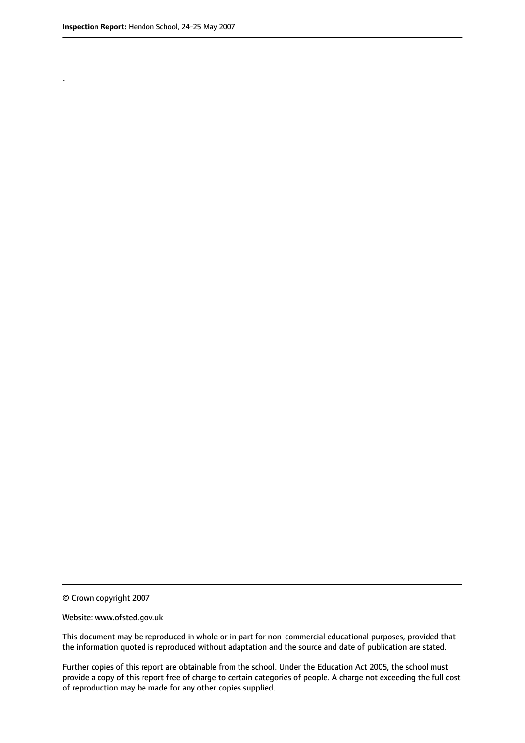.

© Crown copyright 2007

#### Website: www.ofsted.gov.uk

This document may be reproduced in whole or in part for non-commercial educational purposes, provided that the information quoted is reproduced without adaptation and the source and date of publication are stated.

Further copies of this report are obtainable from the school. Under the Education Act 2005, the school must provide a copy of this report free of charge to certain categories of people. A charge not exceeding the full cost of reproduction may be made for any other copies supplied.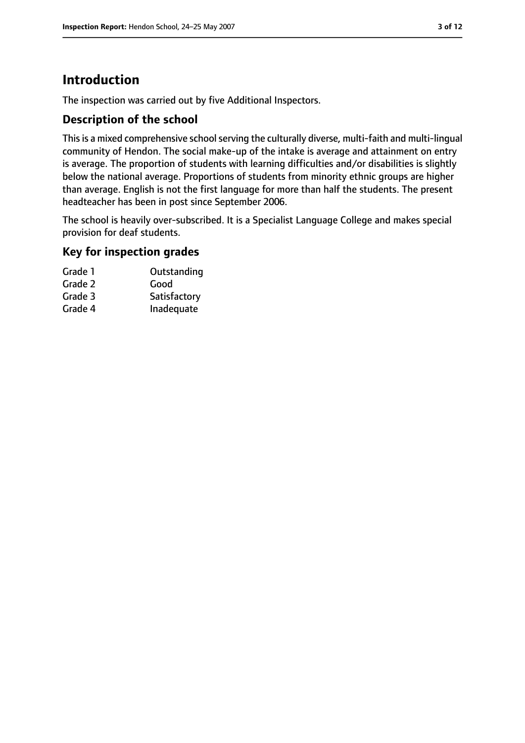# **Introduction**

The inspection was carried out by five Additional Inspectors.

## **Description of the school**

This is a mixed comprehensive school serving the culturally diverse, multi-faith and multi-lingual community of Hendon. The social make-up of the intake is average and attainment on entry is average. The proportion of students with learning difficulties and/or disabilities is slightly below the national average. Proportions of students from minority ethnic groups are higher than average. English is not the first language for more than half the students. The present headteacher has been in post since September 2006.

The school is heavily over-subscribed. It is a Specialist Language College and makes special provision for deaf students.

## **Key for inspection grades**

| Grade 1 | Outstanding  |
|---------|--------------|
| Grade 2 | Good         |
| Grade 3 | Satisfactory |
| Grade 4 | Inadequate   |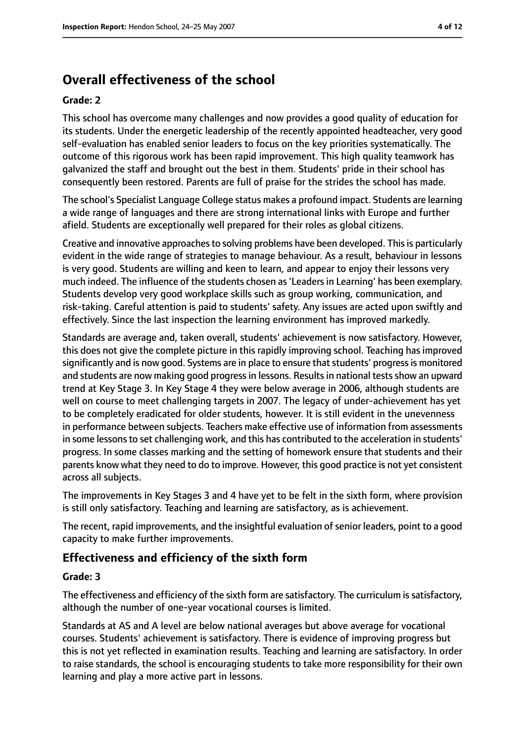# **Overall effectiveness of the school**

#### **Grade: 2**

This school has overcome many challenges and now provides a good quality of education for its students. Under the energetic leadership of the recently appointed headteacher, very good self-evaluation has enabled senior leaders to focus on the key priorities systematically. The outcome of this rigorous work has been rapid improvement. This high quality teamwork has galvanized the staff and brought out the best in them. Students' pride in their school has consequently been restored. Parents are full of praise for the strides the school has made.

The school's Specialist Language College status makes a profound impact. Students are learning a wide range of languages and there are strong international links with Europe and further afield. Students are exceptionally well prepared for their roles as global citizens.

Creative and innovative approaches to solving problems have been developed. This is particularly evident in the wide range of strategies to manage behaviour. As a result, behaviour in lessons is very good. Students are willing and keen to learn, and appear to enjoy their lessons very much indeed. The influence of the students chosen as'Leadersin Learning' has been exemplary. Students develop very good workplace skills such as group working, communication, and risk-taking. Careful attention is paid to students' safety. Any issues are acted upon swiftly and effectively. Since the last inspection the learning environment has improved markedly.

Standards are average and, taken overall, students' achievement is now satisfactory. However, this does not give the complete picture in this rapidly improving school. Teaching has improved significantly and is now good. Systems are in place to ensure that students' progress is monitored and students are now making good progress in lessons. Results in national tests show an upward trend at Key Stage 3. In Key Stage 4 they were below average in 2006, although students are well on course to meet challenging targets in 2007. The legacy of under-achievement has yet to be completely eradicated for older students, however. It is still evident in the unevenness in performance between subjects. Teachers make effective use of information from assessments in some lessons to set challenging work, and this has contributed to the acceleration in students' progress. In some classes marking and the setting of homework ensure that students and their parents know what they need to do to improve. However, this good practice is not yet consistent across all subjects.

The improvements in Key Stages 3 and 4 have yet to be felt in the sixth form, where provision is still only satisfactory. Teaching and learning are satisfactory, as is achievement.

The recent, rapid improvements, and the insightful evaluation of senior leaders, point to a good capacity to make further improvements.

## **Effectiveness and efficiency of the sixth form**

## **Grade: 3**

The effectiveness and efficiency of the sixth form are satisfactory. The curriculum is satisfactory, although the number of one-year vocational courses is limited.

Standards at AS and A level are below national averages but above average for vocational courses. Students' achievement is satisfactory. There is evidence of improving progress but this is not yet reflected in examination results. Teaching and learning are satisfactory. In order to raise standards, the school is encouraging students to take more responsibility for their own learning and play a more active part in lessons.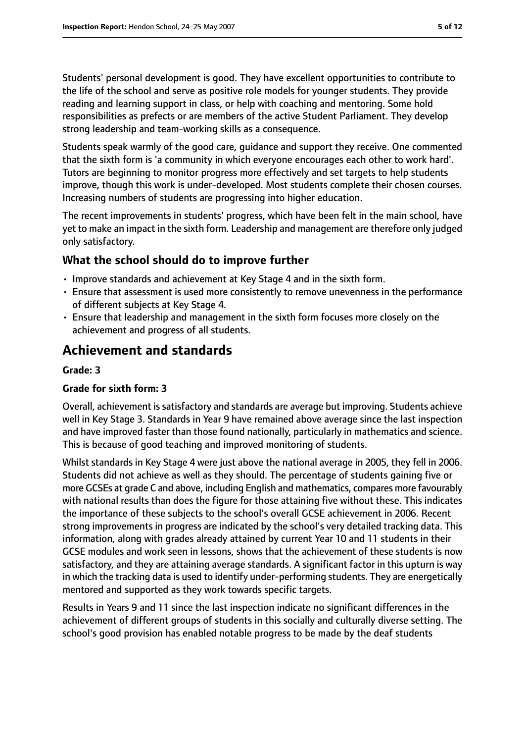Students' personal development is good. They have excellent opportunities to contribute to the life of the school and serve as positive role models for younger students. They provide reading and learning support in class, or help with coaching and mentoring. Some hold responsibilities as prefects or are members of the active Student Parliament. They develop strong leadership and team-working skills as a consequence.

Students speak warmly of the good care, guidance and support they receive. One commented that the sixth form is 'a community in which everyone encourages each other to work hard'. Tutors are beginning to monitor progress more effectively and set targets to help students improve, though this work is under-developed. Most students complete their chosen courses. Increasing numbers of students are progressing into higher education.

The recent improvements in students' progress, which have been felt in the main school, have yet to make an impact in the sixth form. Leadership and management are therefore only judged only satisfactory.

## **What the school should do to improve further**

- Improve standards and achievement at Key Stage 4 and in the sixth form.
- Ensure that assessment is used more consistently to remove unevenness in the performance of different subjects at Key Stage 4.
- Ensure that leadership and management in the sixth form focuses more closely on the achievement and progress of all students.

# **Achievement and standards**

## **Grade: 3**

## **Grade for sixth form: 3**

Overall, achievement is satisfactory and standards are average but improving. Students achieve well in Key Stage 3. Standards in Year 9 have remained above average since the last inspection and have improved faster than those found nationally, particularly in mathematics and science. This is because of good teaching and improved monitoring of students.

Whilst standards in Key Stage 4 were just above the national average in 2005, they fell in 2006. Students did not achieve as well as they should. The percentage of students gaining five or more GCSEs at grade C and above, including English and mathematics, compares more favourably with national results than does the figure for those attaining five without these. This indicates the importance of these subjects to the school's overall GCSE achievement in 2006. Recent strong improvements in progress are indicated by the school's very detailed tracking data. This information, along with grades already attained by current Year 10 and 11 students in their GCSE modules and work seen in lessons, shows that the achievement of these students is now satisfactory, and they are attaining average standards. A significant factor in this upturn is way in which the tracking data is used to identify under-performing students. They are energetically mentored and supported as they work towards specific targets.

Results in Years 9 and 11 since the last inspection indicate no significant differences in the achievement of different groups of students in this socially and culturally diverse setting. The school's good provision has enabled notable progress to be made by the deaf students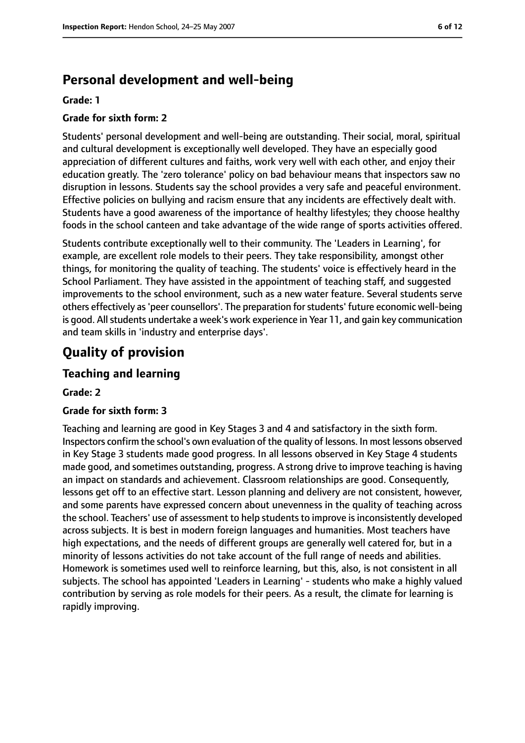# **Personal development and well-being**

#### **Grade: 1**

## **Grade for sixth form: 2**

Students' personal development and well-being are outstanding. Their social, moral, spiritual and cultural development is exceptionally well developed. They have an especially good appreciation of different cultures and faiths, work very well with each other, and enjoy their education greatly. The 'zero tolerance' policy on bad behaviour means that inspectors saw no disruption in lessons. Students say the school provides a very safe and peaceful environment. Effective policies on bullying and racism ensure that any incidents are effectively dealt with. Students have a good awareness of the importance of healthy lifestyles; they choose healthy foods in the school canteen and take advantage of the wide range of sports activities offered.

Students contribute exceptionally well to their community. The 'Leaders in Learning', for example, are excellent role models to their peers. They take responsibility, amongst other things, for monitoring the quality of teaching. The students' voice is effectively heard in the School Parliament. They have assisted in the appointment of teaching staff, and suggested improvements to the school environment, such as a new water feature. Several students serve others effectively as'peer counsellors'. The preparation forstudents' future economic well-being is good. All students undertake a week's work experience in Year 11, and gain key communication and team skills in 'industry and enterprise days'.

# **Quality of provision**

## **Teaching and learning**

#### **Grade: 2**

#### **Grade for sixth form: 3**

Teaching and learning are good in Key Stages 3 and 4 and satisfactory in the sixth form. Inspectors confirm the school's own evaluation of the quality of lessons. In most lessons observed in Key Stage 3 students made good progress. In all lessons observed in Key Stage 4 students made good, and sometimes outstanding, progress. A strong drive to improve teaching is having an impact on standards and achievement. Classroom relationships are good. Consequently, lessons get off to an effective start. Lesson planning and delivery are not consistent, however, and some parents have expressed concern about unevenness in the quality of teaching across the school. Teachers' use of assessment to help students to improve is inconsistently developed across subjects. It is best in modern foreign languages and humanities. Most teachers have high expectations, and the needs of different groups are generally well catered for, but in a minority of lessons activities do not take account of the full range of needs and abilities. Homework is sometimes used well to reinforce learning, but this, also, is not consistent in all subjects. The school has appointed 'Leaders in Learning' - students who make a highly valued contribution by serving as role models for their peers. As a result, the climate for learning is rapidly improving.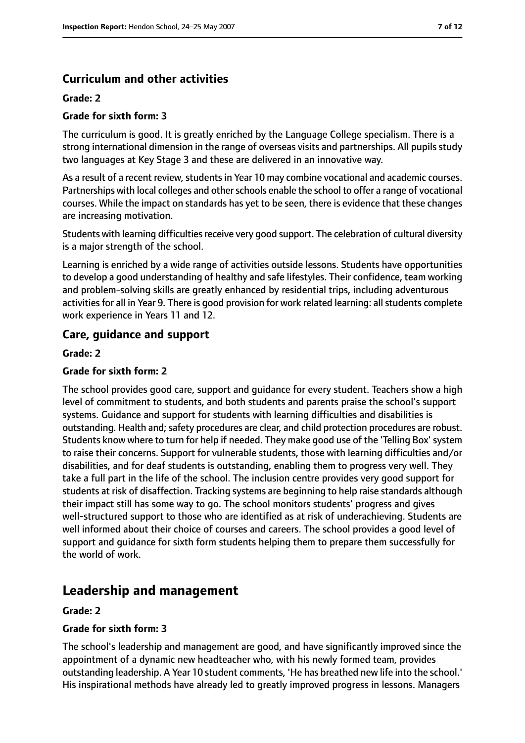## **Curriculum and other activities**

## **Grade: 2**

## **Grade for sixth form: 3**

The curriculum is good. It is greatly enriched by the Language College specialism. There is a strong international dimension in the range of overseas visits and partnerships. All pupils study two languages at Key Stage 3 and these are delivered in an innovative way.

As a result of a recent review, students in Year 10 may combine vocational and academic courses. Partnerships with local colleges and other schools enable the school to offer a range of vocational courses. While the impact on standards has yet to be seen, there is evidence that these changes are increasing motivation.

Students with learning difficulties receive very good support. The celebration of cultural diversity is a major strength of the school.

Learning is enriched by a wide range of activities outside lessons. Students have opportunities to develop a good understanding of healthy and safe lifestyles. Their confidence, team working and problem-solving skills are greatly enhanced by residential trips, including adventurous activities for all in Year 9. There is good provision for work related learning: all students complete work experience in Years 11 and 12.

## **Care, guidance and support**

**Grade: 2**

## **Grade for sixth form: 2**

The school provides good care, support and guidance for every student. Teachers show a high level of commitment to students, and both students and parents praise the school's support systems. Guidance and support for students with learning difficulties and disabilities is outstanding. Health and; safety procedures are clear, and child protection procedures are robust. Students know where to turn for help if needed. They make good use of the 'Telling Box'system to raise their concerns. Support for vulnerable students, those with learning difficulties and/or disabilities, and for deaf students is outstanding, enabling them to progress very well. They take a full part in the life of the school. The inclusion centre provides very good support for students at risk of disaffection. Tracking systems are beginning to help raise standards although their impact still has some way to go. The school monitors students' progress and gives well-structured support to those who are identified as at risk of underachieving. Students are well informed about their choice of courses and careers. The school provides a good level of support and guidance for sixth form students helping them to prepare them successfully for the world of work.

# **Leadership and management**

## **Grade: 2**

## **Grade for sixth form: 3**

The school's leadership and management are good, and have significantly improved since the appointment of a dynamic new headteacher who, with his newly formed team, provides outstanding leadership. A Year 10 student comments, 'He has breathed new life into the school.' His inspirational methods have already led to greatly improved progress in lessons. Managers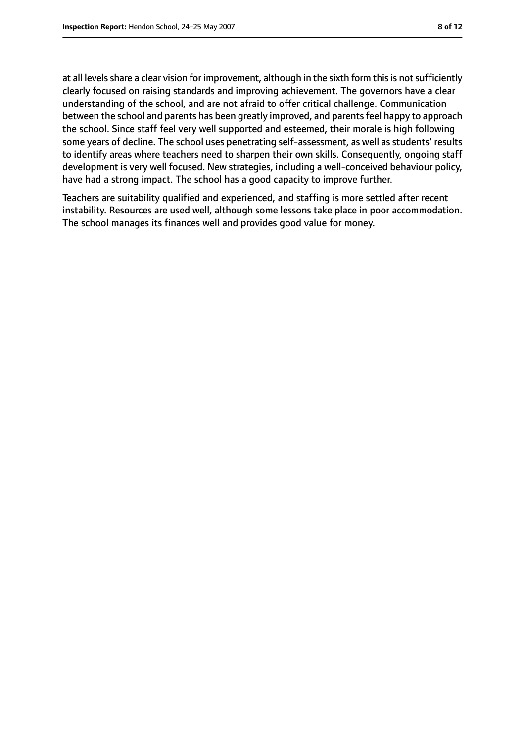at all levels share a clear vision for improvement, although in the sixth form this is not sufficiently clearly focused on raising standards and improving achievement. The governors have a clear understanding of the school, and are not afraid to offer critical challenge. Communication between the school and parents has been greatly improved, and parents feel happy to approach the school. Since staff feel very well supported and esteemed, their morale is high following some years of decline. The school uses penetrating self-assessment, as well as students' results to identify areas where teachers need to sharpen their own skills. Consequently, ongoing staff development is very well focused. New strategies, including a well-conceived behaviour policy, have had a strong impact. The school has a good capacity to improve further.

Teachers are suitability qualified and experienced, and staffing is more settled after recent instability. Resources are used well, although some lessons take place in poor accommodation. The school manages its finances well and provides good value for money.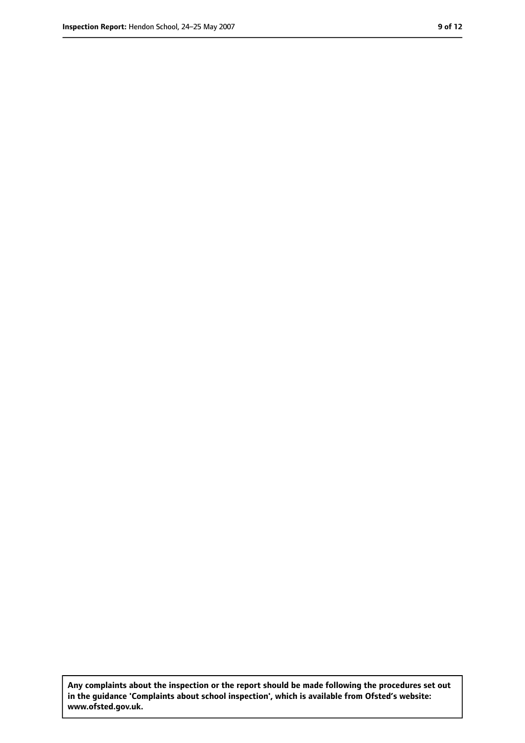**Any complaints about the inspection or the report should be made following the procedures set out in the guidance 'Complaints about school inspection', which is available from Ofsted's website: www.ofsted.gov.uk.**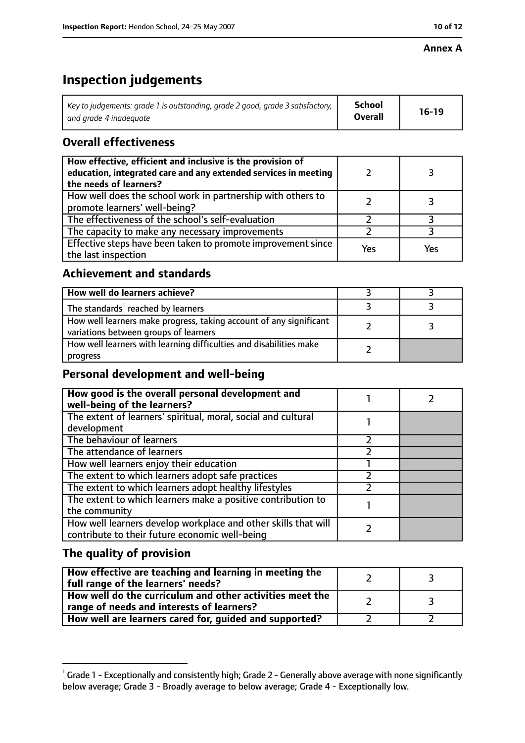# **Inspection judgements**

| Key to judgements: grade 1 is outstanding, grade 2 good, grade 3 satisfactory, $\vert$ | School         | $16-19$ |
|----------------------------------------------------------------------------------------|----------------|---------|
| and grade 4 inadeguate                                                                 | <b>Overall</b> |         |

## **Overall effectiveness**

| How effective, efficient and inclusive is the provision of<br>education, integrated care and any extended services in meeting<br>the needs of learners? |     |     |
|---------------------------------------------------------------------------------------------------------------------------------------------------------|-----|-----|
| How well does the school work in partnership with others to<br>promote learners' well-being?                                                            |     |     |
| The effectiveness of the school's self-evaluation                                                                                                       |     |     |
| The capacity to make any necessary improvements                                                                                                         |     |     |
| Effective steps have been taken to promote improvement since<br>the last inspection                                                                     | Yes | Yes |

## **Achievement and standards**

| How well do learners achieve?                                                                               |  |
|-------------------------------------------------------------------------------------------------------------|--|
| The standards <sup>1</sup> reached by learners                                                              |  |
| How well learners make progress, taking account of any significant<br>variations between groups of learners |  |
| How well learners with learning difficulties and disabilities make<br>progress                              |  |

# **Personal development and well-being**

| How good is the overall personal development and<br>well-being of the learners?                                  |  |
|------------------------------------------------------------------------------------------------------------------|--|
| The extent of learners' spiritual, moral, social and cultural<br>development                                     |  |
| The behaviour of learners                                                                                        |  |
| The attendance of learners                                                                                       |  |
| How well learners enjoy their education                                                                          |  |
| The extent to which learners adopt safe practices                                                                |  |
| The extent to which learners adopt healthy lifestyles                                                            |  |
| The extent to which learners make a positive contribution to<br>the community                                    |  |
| How well learners develop workplace and other skills that will<br>contribute to their future economic well-being |  |

## **The quality of provision**

| How effective are teaching and learning in meeting the<br>full range of the learners' needs?          |  |
|-------------------------------------------------------------------------------------------------------|--|
| How well do the curriculum and other activities meet the<br>range of needs and interests of learners? |  |
| How well are learners cared for, guided and supported?                                                |  |

 $^1$  Grade 1 - Exceptionally and consistently high; Grade 2 - Generally above average with none significantly below average; Grade 3 - Broadly average to below average; Grade 4 - Exceptionally low.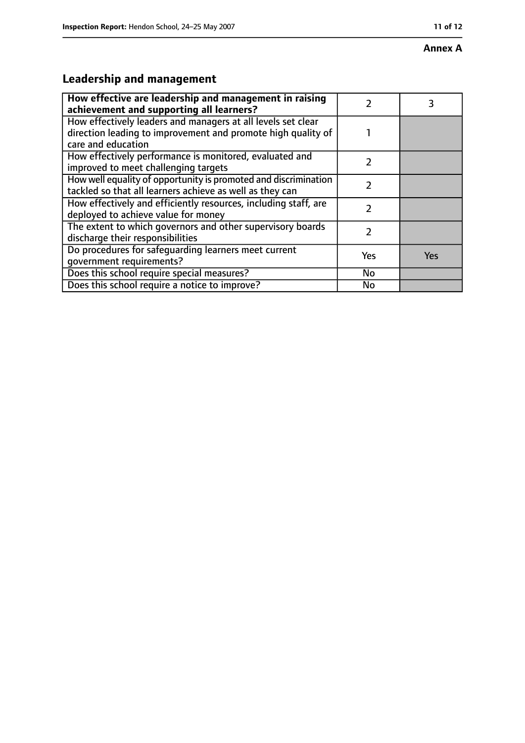#### **Annex A**

# **Leadership and management**

| How effective are leadership and management in raising<br>achievement and supporting all learners?                                                 |               |     |
|----------------------------------------------------------------------------------------------------------------------------------------------------|---------------|-----|
| How effectively leaders and managers at all levels set clear<br>direction leading to improvement and promote high quality of<br>care and education |               |     |
| How effectively performance is monitored, evaluated and<br>improved to meet challenging targets                                                    | 2             |     |
| How well equality of opportunity is promoted and discrimination<br>tackled so that all learners achieve as well as they can                        | $\mathcal{P}$ |     |
| How effectively and efficiently resources, including staff, are<br>deployed to achieve value for money                                             | 7             |     |
| The extent to which governors and other supervisory boards<br>discharge their responsibilities                                                     | 7             |     |
| Do procedures for safequarding learners meet current<br>qovernment requirements?                                                                   | Yes           | Yes |
| Does this school require special measures?                                                                                                         | No            |     |
| Does this school require a notice to improve?                                                                                                      | No            |     |